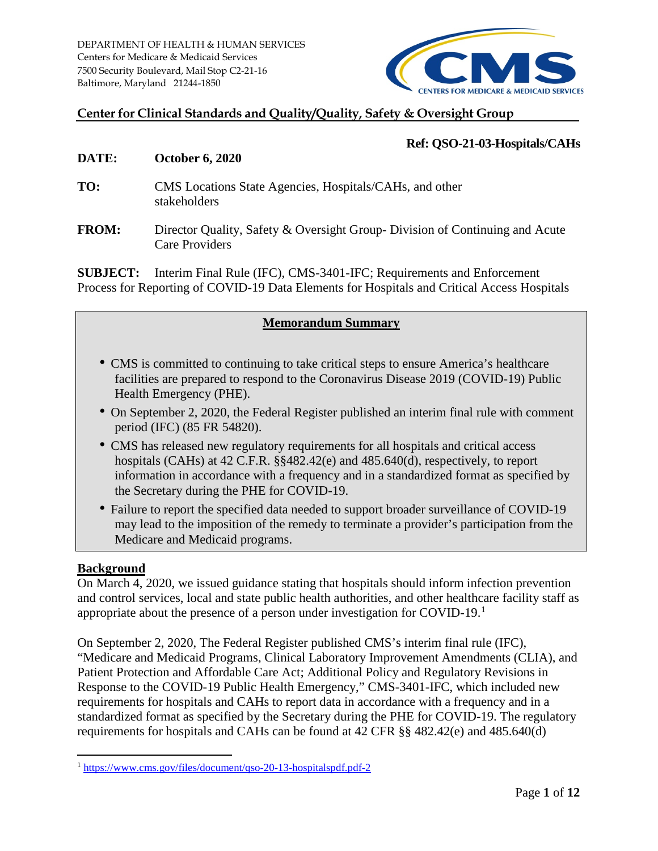

## **Center for Clinical Standards and Quality/Quality, Safety & Oversight Group**

#### **Ref: QSO-21-03-Hospitals/CAHs**

#### **DATE: October 6, 2020**

- **TO:** CMS Locations State Agencies, Hospitals/CAHs, and other stakeholders
- **FROM:** Director Quality, Safety & Oversight Group- Division of Continuing and Acute Care Providers

**SUBJECT:** Interim Final Rule (IFC), CMS-3401-IFC; Requirements and Enforcement Process for Reporting of COVID-19 Data Elements for Hospitals and Critical Access Hospitals

#### **Memorandum Summary**

- CMS is committed to continuing to take critical steps to ensure America's healthcare facilities are prepared to respond to the Coronavirus Disease 2019 (COVID-19) Public Health Emergency (PHE).
- On September 2, 2020, the Federal Register published an interim final rule with comment period (IFC) (85 FR 54820).
- CMS has released new regulatory requirements for all hospitals and critical access hospitals (CAHs) at 42 C.F.R. §§482.42(e) and 485.640(d), respectively, to report information in accordance with a frequency and in a standardized format as specified by the Secretary during the PHE for COVID-19.
- Failure to report the specified data needed to support broader surveillance of COVID-19 may lead to the imposition of the remedy to terminate a provider's participation from the Medicare and Medicaid programs.

#### **Background**

On March 4, 2020, we issued guidance stating that hospitals should inform infection prevention and control services, local and state public health authorities, and other healthcare facility staff as appropriate about the presence of a person under investigation for COVID-19.[1](#page-0-0)

On September 2, 2020, The Federal Register published CMS's interim final rule (IFC), "Medicare and Medicaid Programs, Clinical Laboratory Improvement Amendments (CLIA), and Patient Protection and Affordable Care Act; Additional Policy and Regulatory Revisions in Response to the COVID-19 Public Health Emergency," CMS-3401-IFC, which included new requirements for hospitals and CAHs to report data in accordance with a frequency and in a standardized format as specified by the Secretary during the PHE for COVID-19. The regulatory requirements for hospitals and CAHs can be found at 42 CFR §§ 482.42(e) and 485.640(d)

<span id="page-0-0"></span> <sup>1</sup> <https://www.cms.gov/files/document/qso-20-13-hospitalspdf.pdf-2>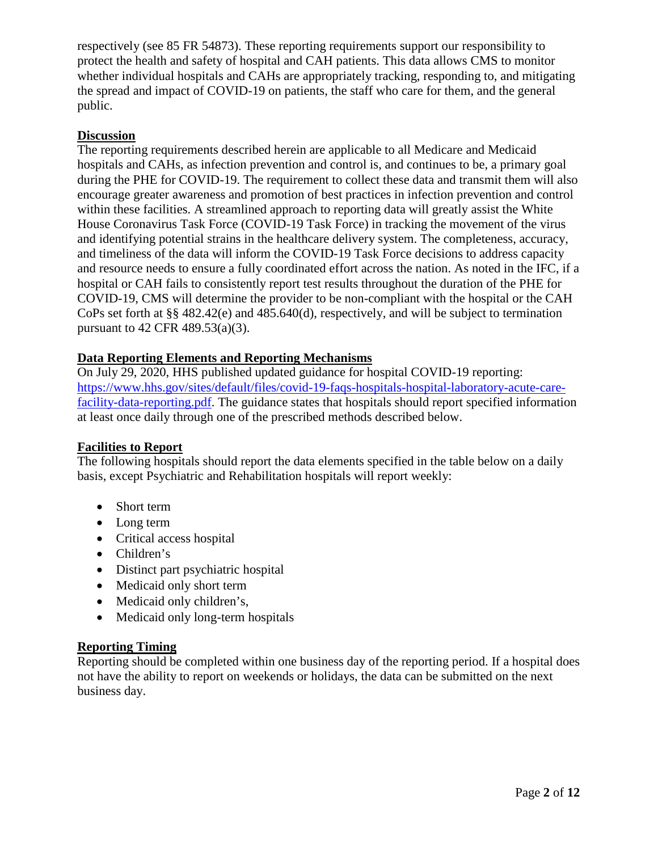respectively (see 85 FR 54873). These reporting requirements support our responsibility to protect the health and safety of hospital and CAH patients. This data allows CMS to monitor whether individual hospitals and CAHs are appropriately tracking, responding to, and mitigating the spread and impact of COVID-19 on patients, the staff who care for them, and the general public.

## **Discussion**

The reporting requirements described herein are applicable to all Medicare and Medicaid hospitals and CAHs, as infection prevention and control is, and continues to be, a primary goal during the PHE for COVID-19. The requirement to collect these data and transmit them will also encourage greater awareness and promotion of best practices in infection prevention and control within these facilities. A streamlined approach to reporting data will greatly assist the White House Coronavirus Task Force (COVID-19 Task Force) in tracking the movement of the virus and identifying potential strains in the healthcare delivery system. The completeness, accuracy, and timeliness of the data will inform the COVID-19 Task Force decisions to address capacity and resource needs to ensure a fully coordinated effort across the nation. As noted in the IFC, if a hospital or CAH fails to consistently report test results throughout the duration of the PHE for COVID-19, CMS will determine the provider to be non-compliant with the hospital or the CAH CoPs set forth at §§ 482.42(e) and 485.640(d), respectively, and will be subject to termination pursuant to 42 CFR 489.53(a)(3).

## **Data Reporting Elements and Reporting Mechanisms**

On July 29, 2020, HHS published updated guidance for hospital COVID-19 reporting: [https://www.hhs.gov/sites/default/files/covid-19-faqs-hospitals-hospital-laboratory-acute-care](https://www.hhs.gov/sites/default/files/covid-19-faqs-hospitals-hospital-laboratory-acute-care-facility-data-reporting.pdf)[facility-data-reporting.pdf.](https://www.hhs.gov/sites/default/files/covid-19-faqs-hospitals-hospital-laboratory-acute-care-facility-data-reporting.pdf) The guidance states that hospitals should report specified information at least once daily through one of the prescribed methods described below.

#### **Facilities to Report**

The following hospitals should report the data elements specified in the table below on a daily basis, except Psychiatric and Rehabilitation hospitals will report weekly:

- Short term
- Long term
- Critical access hospital
- Children's
- Distinct part psychiatric hospital
- Medicaid only short term
- Medicaid only children's,
- Medicaid only long-term hospitals

# **Reporting Timing**

Reporting should be completed within one business day of the reporting period. If a hospital does not have the ability to report on weekends or holidays, the data can be submitted on the next business day.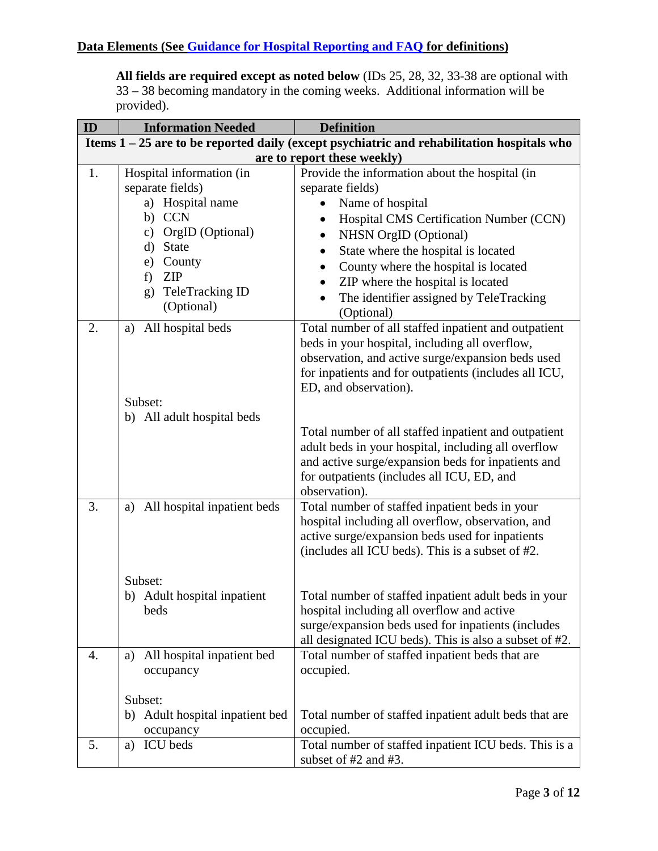**All fields are required except as noted below** (IDs 25, 28, 32, 33-38 are optional with 33 – 38 becoming mandatory in the coming weeks. Additional information will be provided).

| ID | <b>Information Needed</b>         | <b>Definition</b>                                                                            |
|----|-----------------------------------|----------------------------------------------------------------------------------------------|
|    |                                   | Items $1 - 25$ are to be reported daily (except psychiatric and rehabilitation hospitals who |
|    |                                   | are to report these weekly)                                                                  |
| 1. | Hospital information (in          | Provide the information about the hospital (in                                               |
|    | separate fields)                  | separate fields)                                                                             |
|    | a) Hospital name                  | Name of hospital                                                                             |
|    | b) CCN                            | Hospital CMS Certification Number (CCN)<br>$\bullet$                                         |
|    | c) OrgID (Optional)               | NHSN OrgID (Optional)<br>$\bullet$                                                           |
|    | d) State                          | State where the hospital is located<br>$\bullet$                                             |
|    | County<br>e)                      | County where the hospital is located<br>$\bullet$                                            |
|    | <b>ZIP</b><br>f)                  | ZIP where the hospital is located                                                            |
|    | TeleTracking ID<br>g)             | The identifier assigned by TeleTracking                                                      |
|    | (Optional)                        | (Optional)                                                                                   |
| 2. | All hospital beds<br>a)           | Total number of all staffed inpatient and outpatient                                         |
|    |                                   | beds in your hospital, including all overflow,                                               |
|    |                                   | observation, and active surge/expansion beds used                                            |
|    |                                   | for inpatients and for outpatients (includes all ICU,                                        |
|    |                                   | ED, and observation).                                                                        |
|    | Subset:                           |                                                                                              |
|    | b) All adult hospital beds        |                                                                                              |
|    |                                   | Total number of all staffed inpatient and outpatient                                         |
|    |                                   | adult beds in your hospital, including all overflow                                          |
|    |                                   | and active surge/expansion beds for inpatients and                                           |
|    |                                   | for outpatients (includes all ICU, ED, and                                                   |
|    |                                   | observation).                                                                                |
| 3. | All hospital inpatient beds<br>a) | Total number of staffed inpatient beds in your                                               |
|    |                                   | hospital including all overflow, observation, and                                            |
|    |                                   | active surge/expansion beds used for inpatients                                              |
|    |                                   | (includes all ICU beds). This is a subset of #2.                                             |
|    | Subset:                           |                                                                                              |
|    | b) Adult hospital inpatient       | Total number of staffed inpatient adult beds in your                                         |
|    | beds                              | hospital including all overflow and active                                                   |
|    |                                   | surge/expansion beds used for inpatients (includes                                           |
|    |                                   | all designated ICU beds). This is also a subset of #2.                                       |
| 4. | All hospital inpatient bed<br>a)  | Total number of staffed inpatient beds that are                                              |
|    | occupancy                         | occupied.                                                                                    |
|    |                                   |                                                                                              |
|    | Subset:                           |                                                                                              |
|    | b) Adult hospital inpatient bed   | Total number of staffed inpatient adult beds that are                                        |
|    | occupancy                         | occupied.                                                                                    |
| 5. | <b>ICU</b> beds<br>a)             | Total number of staffed inpatient ICU beds. This is a                                        |
|    |                                   | subset of #2 and #3.                                                                         |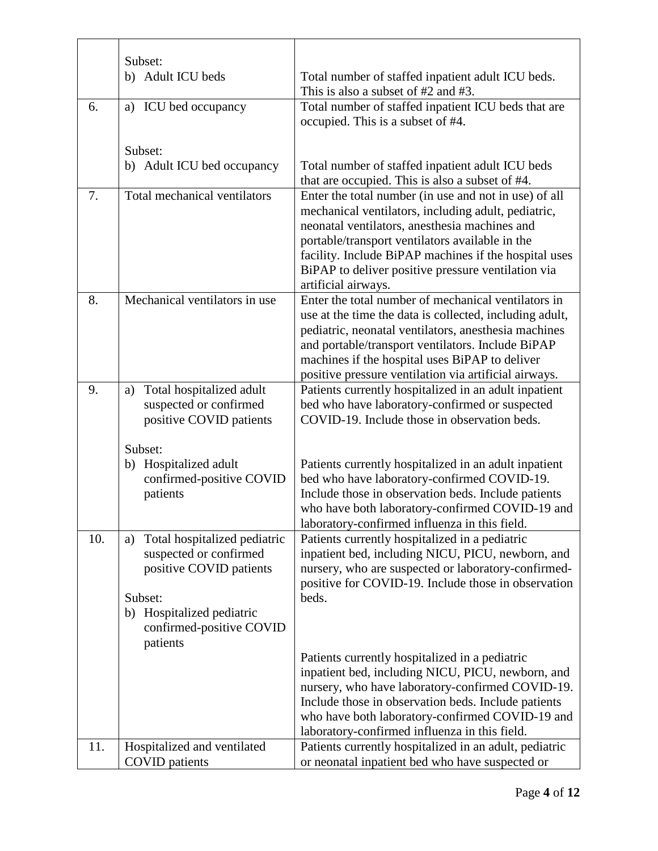|     | Subset:                            |                                                                                                         |
|-----|------------------------------------|---------------------------------------------------------------------------------------------------------|
|     | b) Adult ICU beds                  | Total number of staffed inpatient adult ICU beds.                                                       |
|     |                                    | This is also a subset of #2 and #3.                                                                     |
| 6.  | a) ICU bed occupancy               | Total number of staffed inpatient ICU beds that are                                                     |
|     |                                    | occupied. This is a subset of #4.                                                                       |
|     | Subset:                            |                                                                                                         |
|     | b) Adult ICU bed occupancy         | Total number of staffed inpatient adult ICU beds                                                        |
|     |                                    | that are occupied. This is also a subset of #4.                                                         |
| 7.  | Total mechanical ventilators       | Enter the total number (in use and not in use) of all                                                   |
|     |                                    | mechanical ventilators, including adult, pediatric,                                                     |
|     |                                    | neonatal ventilators, anesthesia machines and                                                           |
|     |                                    | portable/transport ventilators available in the                                                         |
|     |                                    | facility. Include BiPAP machines if the hospital uses                                                   |
|     |                                    | BiPAP to deliver positive pressure ventilation via                                                      |
|     |                                    | artificial airways.                                                                                     |
| 8.  | Mechanical ventilators in use      | Enter the total number of mechanical ventilators in                                                     |
|     |                                    | use at the time the data is collected, including adult,                                                 |
|     |                                    | pediatric, neonatal ventilators, anesthesia machines                                                    |
|     |                                    | and portable/transport ventilators. Include BiPAP                                                       |
|     |                                    | machines if the hospital uses BiPAP to deliver                                                          |
|     |                                    | positive pressure ventilation via artificial airways.                                                   |
| 9.  | Total hospitalized adult<br>a)     | Patients currently hospitalized in an adult inpatient                                                   |
|     | suspected or confirmed             | bed who have laboratory-confirmed or suspected                                                          |
|     | positive COVID patients            | COVID-19. Include those in observation beds.                                                            |
|     | Subset:                            |                                                                                                         |
|     | b) Hospitalized adult              | Patients currently hospitalized in an adult inpatient                                                   |
|     | confirmed-positive COVID           | bed who have laboratory-confirmed COVID-19.                                                             |
|     | patients                           | Include those in observation beds. Include patients                                                     |
|     |                                    | who have both laboratory-confirmed COVID-19 and                                                         |
|     |                                    | laboratory-confirmed influenza in this field.                                                           |
| 10. | Total hospitalized pediatric<br>a) | Patients currently hospitalized in a pediatric                                                          |
|     | suspected or confirmed             | inpatient bed, including NICU, PICU, newborn, and                                                       |
|     | positive COVID patients            | nursery, who are suspected or laboratory-confirmed-                                                     |
|     |                                    | positive for COVID-19. Include those in observation                                                     |
|     | Subset:                            | beds.                                                                                                   |
|     | b) Hospitalized pediatric          |                                                                                                         |
|     | confirmed-positive COVID           |                                                                                                         |
|     | patients                           |                                                                                                         |
|     |                                    | Patients currently hospitalized in a pediatric                                                          |
|     |                                    | inpatient bed, including NICU, PICU, newborn, and                                                       |
|     |                                    | nursery, who have laboratory-confirmed COVID-19.<br>Include those in observation beds. Include patients |
|     |                                    | who have both laboratory-confirmed COVID-19 and                                                         |
|     |                                    | laboratory-confirmed influenza in this field.                                                           |
| 11. |                                    |                                                                                                         |
|     | Hospitalized and ventilated        | Patients currently hospitalized in an adult, pediatric                                                  |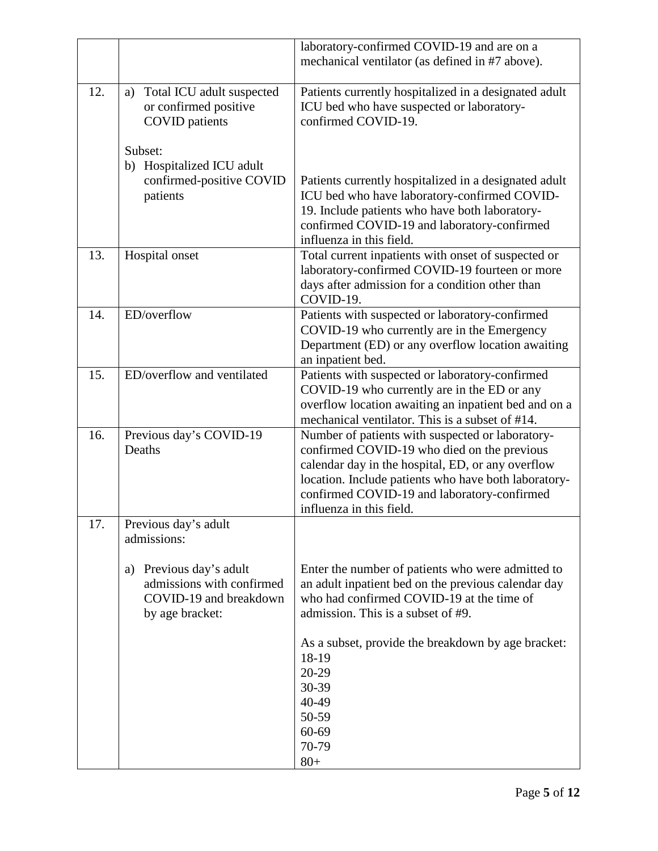|     |                                 | laboratory-confirmed COVID-19 and are on a                                                     |
|-----|---------------------------------|------------------------------------------------------------------------------------------------|
|     |                                 | mechanical ventilator (as defined in #7 above).                                                |
|     |                                 |                                                                                                |
| 12. | Total ICU adult suspected<br>a) | Patients currently hospitalized in a designated adult                                          |
|     | or confirmed positive           | ICU bed who have suspected or laboratory-                                                      |
|     | <b>COVID</b> patients           | confirmed COVID-19.                                                                            |
|     | Subset:                         |                                                                                                |
|     | b) Hospitalized ICU adult       |                                                                                                |
|     | confirmed-positive COVID        | Patients currently hospitalized in a designated adult                                          |
|     | patients                        | ICU bed who have laboratory-confirmed COVID-                                                   |
|     |                                 | 19. Include patients who have both laboratory-                                                 |
|     |                                 | confirmed COVID-19 and laboratory-confirmed                                                    |
|     |                                 | influenza in this field.                                                                       |
| 13. | Hospital onset                  | Total current inpatients with onset of suspected or                                            |
|     |                                 | laboratory-confirmed COVID-19 fourteen or more                                                 |
|     |                                 | days after admission for a condition other than                                                |
|     |                                 | COVID-19.                                                                                      |
| 14. | ED/overflow                     | Patients with suspected or laboratory-confirmed                                                |
|     |                                 | COVID-19 who currently are in the Emergency                                                    |
|     |                                 | Department (ED) or any overflow location awaiting                                              |
| 15. | ED/overflow and ventilated      | an inpatient bed.                                                                              |
|     |                                 | Patients with suspected or laboratory-confirmed<br>COVID-19 who currently are in the ED or any |
|     |                                 | overflow location awaiting an inpatient bed and on a                                           |
|     |                                 | mechanical ventilator. This is a subset of #14.                                                |
| 16. | Previous day's COVID-19         | Number of patients with suspected or laboratory-                                               |
|     | Deaths                          | confirmed COVID-19 who died on the previous                                                    |
|     |                                 | calendar day in the hospital, ED, or any overflow                                              |
|     |                                 | location. Include patients who have both laboratory-                                           |
|     |                                 | confirmed COVID-19 and laboratory-confirmed                                                    |
|     |                                 | influenza in this field.                                                                       |
| 17. | Previous day's adult            |                                                                                                |
|     | admissions:                     |                                                                                                |
|     | Previous day's adult<br>a)      | Enter the number of patients who were admitted to                                              |
|     | admissions with confirmed       | an adult inpatient bed on the previous calendar day                                            |
|     | COVID-19 and breakdown          | who had confirmed COVID-19 at the time of                                                      |
|     | by age bracket:                 | admission. This is a subset of #9.                                                             |
|     |                                 |                                                                                                |
|     |                                 | As a subset, provide the breakdown by age bracket:                                             |
|     |                                 | 18-19                                                                                          |
|     |                                 | 20-29                                                                                          |
|     |                                 | 30-39                                                                                          |
|     |                                 | 40-49                                                                                          |
|     |                                 | 50-59                                                                                          |
|     |                                 | 60-69                                                                                          |
|     |                                 | 70-79                                                                                          |
|     |                                 | $80+$                                                                                          |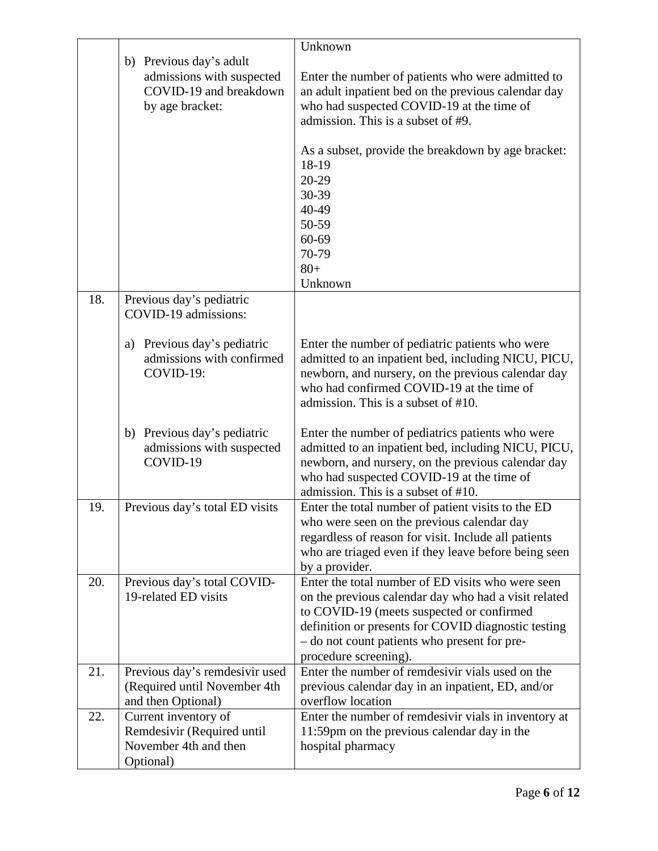|     |                                                  | Unknown                                                                                                      |
|-----|--------------------------------------------------|--------------------------------------------------------------------------------------------------------------|
|     | b) Previous day's adult                          |                                                                                                              |
|     | admissions with suspected                        | Enter the number of patients who were admitted to                                                            |
|     | COVID-19 and breakdown                           | an adult inpatient bed on the previous calendar day                                                          |
|     | by age bracket:                                  | who had suspected COVID-19 at the time of                                                                    |
|     |                                                  | admission. This is a subset of #9.                                                                           |
|     |                                                  | As a subset, provide the breakdown by age bracket:                                                           |
|     |                                                  | 18-19                                                                                                        |
|     |                                                  | 20-29                                                                                                        |
|     |                                                  | 30-39                                                                                                        |
|     |                                                  | 40-49                                                                                                        |
|     |                                                  | 50-59                                                                                                        |
|     |                                                  | 60-69                                                                                                        |
|     |                                                  | 70-79                                                                                                        |
|     |                                                  | $80 +$                                                                                                       |
|     |                                                  | Unknown                                                                                                      |
| 18. | Previous day's pediatric<br>COVID-19 admissions: |                                                                                                              |
|     |                                                  |                                                                                                              |
|     | Previous day's pediatric<br>a)                   | Enter the number of pediatric patients who were                                                              |
|     | admissions with confirmed                        | admitted to an inpatient bed, including NICU, PICU,                                                          |
|     | COVID-19:                                        | newborn, and nursery, on the previous calendar day                                                           |
|     |                                                  | who had confirmed COVID-19 at the time of                                                                    |
|     |                                                  | admission. This is a subset of #10.                                                                          |
|     |                                                  |                                                                                                              |
|     | b) Previous day's pediatric                      | Enter the number of pediatrics patients who were                                                             |
|     | admissions with suspected                        | admitted to an inpatient bed, including NICU, PICU,                                                          |
|     | COVID-19                                         | newborn, and nursery, on the previous calendar day                                                           |
|     |                                                  | who had suspected COVID-19 at the time of                                                                    |
|     |                                                  | admission. This is a subset of #10.                                                                          |
| 19. | Previous day's total ED visits                   | Enter the total number of patient visits to the ED                                                           |
|     |                                                  | who were seen on the previous calendar day                                                                   |
|     |                                                  | regardless of reason for visit. Include all patients<br>who are triaged even if they leave before being seen |
|     |                                                  | by a provider.                                                                                               |
| 20. | Previous day's total COVID-                      | Enter the total number of ED visits who were seen                                                            |
|     | 19-related ED visits                             | on the previous calendar day who had a visit related                                                         |
|     |                                                  | to COVID-19 (meets suspected or confirmed                                                                    |
|     |                                                  | definition or presents for COVID diagnostic testing                                                          |
|     |                                                  | - do not count patients who present for pre-                                                                 |
|     |                                                  | procedure screening).                                                                                        |
| 21. | Previous day's remdesivir used                   | Enter the number of remdesivir vials used on the                                                             |
|     | (Required until November 4th                     | previous calendar day in an inpatient, ED, and/or                                                            |
|     | and then Optional)                               | overflow location                                                                                            |
| 22. | Current inventory of                             | Enter the number of remdesivir vials in inventory at                                                         |
|     | Remdesivir (Required until                       | 11:59pm on the previous calendar day in the                                                                  |
|     | November 4th and then                            | hospital pharmacy                                                                                            |
|     | Optional)                                        |                                                                                                              |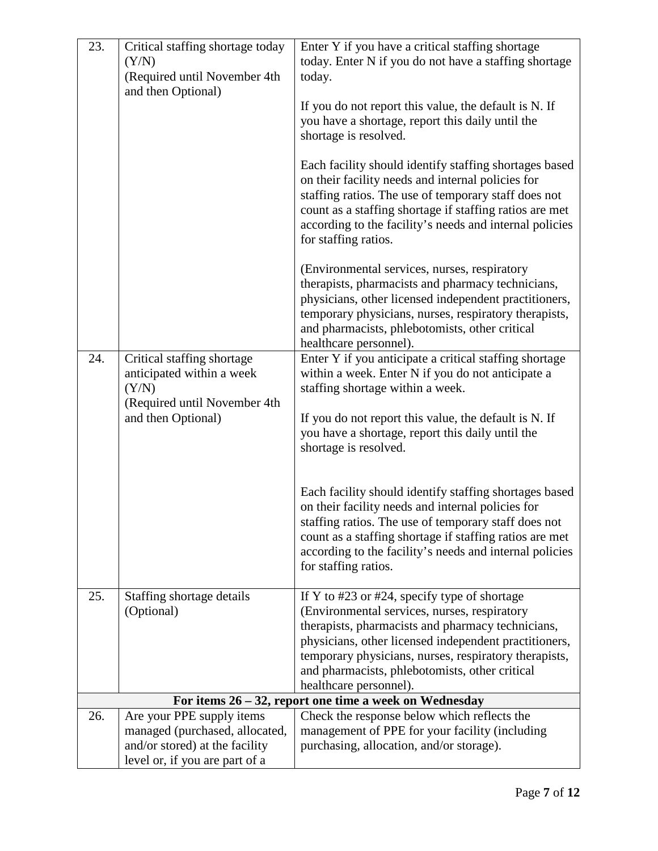| 23. | Critical staffing shortage today                                 | Enter Y if you have a critical staffing shortage                                                                                                                                                                                                                                                                  |
|-----|------------------------------------------------------------------|-------------------------------------------------------------------------------------------------------------------------------------------------------------------------------------------------------------------------------------------------------------------------------------------------------------------|
|     | (Y/N)                                                            | today. Enter N if you do not have a staffing shortage                                                                                                                                                                                                                                                             |
|     | (Required until November 4th                                     | today.                                                                                                                                                                                                                                                                                                            |
|     | and then Optional)                                               |                                                                                                                                                                                                                                                                                                                   |
|     |                                                                  | If you do not report this value, the default is N. If                                                                                                                                                                                                                                                             |
|     |                                                                  | you have a shortage, report this daily until the                                                                                                                                                                                                                                                                  |
|     |                                                                  | shortage is resolved.                                                                                                                                                                                                                                                                                             |
|     |                                                                  | Each facility should identify staffing shortages based<br>on their facility needs and internal policies for<br>staffing ratios. The use of temporary staff does not<br>count as a staffing shortage if staffing ratios are met<br>according to the facility's needs and internal policies<br>for staffing ratios. |
|     |                                                                  | (Environmental services, nurses, respiratory                                                                                                                                                                                                                                                                      |
|     |                                                                  | therapists, pharmacists and pharmacy technicians,                                                                                                                                                                                                                                                                 |
|     |                                                                  | physicians, other licensed independent practitioners,                                                                                                                                                                                                                                                             |
|     |                                                                  | temporary physicians, nurses, respiratory therapists,<br>and pharmacists, phlebotomists, other critical                                                                                                                                                                                                           |
|     |                                                                  | healthcare personnel).                                                                                                                                                                                                                                                                                            |
| 24. | Critical staffing shortage                                       | Enter Y if you anticipate a critical staffing shortage                                                                                                                                                                                                                                                            |
|     | anticipated within a week                                        | within a week. Enter N if you do not anticipate a                                                                                                                                                                                                                                                                 |
|     | (Y/N)                                                            | staffing shortage within a week.                                                                                                                                                                                                                                                                                  |
|     | (Required until November 4th<br>and then Optional)               | If you do not report this value, the default is N. If                                                                                                                                                                                                                                                             |
|     |                                                                  | you have a shortage, report this daily until the                                                                                                                                                                                                                                                                  |
|     |                                                                  | shortage is resolved.                                                                                                                                                                                                                                                                                             |
|     |                                                                  |                                                                                                                                                                                                                                                                                                                   |
|     |                                                                  | Each facility should identify staffing shortages based                                                                                                                                                                                                                                                            |
|     |                                                                  | on their facility needs and internal policies for                                                                                                                                                                                                                                                                 |
|     |                                                                  | staffing ratios. The use of temporary staff does not                                                                                                                                                                                                                                                              |
|     |                                                                  | count as a staffing shortage if staffing ratios are met                                                                                                                                                                                                                                                           |
|     |                                                                  | according to the facility's needs and internal policies                                                                                                                                                                                                                                                           |
|     |                                                                  | for staffing ratios.                                                                                                                                                                                                                                                                                              |
| 25. | Staffing shortage details                                        | If Y to $\#23$ or $\#24$ , specify type of shortage                                                                                                                                                                                                                                                               |
|     | (Optional)                                                       | (Environmental services, nurses, respiratory                                                                                                                                                                                                                                                                      |
|     |                                                                  | therapists, pharmacists and pharmacy technicians,                                                                                                                                                                                                                                                                 |
|     |                                                                  | physicians, other licensed independent practitioners,<br>temporary physicians, nurses, respiratory therapists,                                                                                                                                                                                                    |
|     |                                                                  | and pharmacists, phlebotomists, other critical                                                                                                                                                                                                                                                                    |
|     |                                                                  | healthcare personnel).                                                                                                                                                                                                                                                                                            |
|     |                                                                  | For items $26 - 32$ , report one time a week on Wednesday                                                                                                                                                                                                                                                         |
| 26. | Are your PPE supply items                                        | Check the response below which reflects the                                                                                                                                                                                                                                                                       |
|     | managed (purchased, allocated,<br>and/or stored) at the facility | management of PPE for your facility (including                                                                                                                                                                                                                                                                    |
|     | level or, if you are part of a                                   | purchasing, allocation, and/or storage).                                                                                                                                                                                                                                                                          |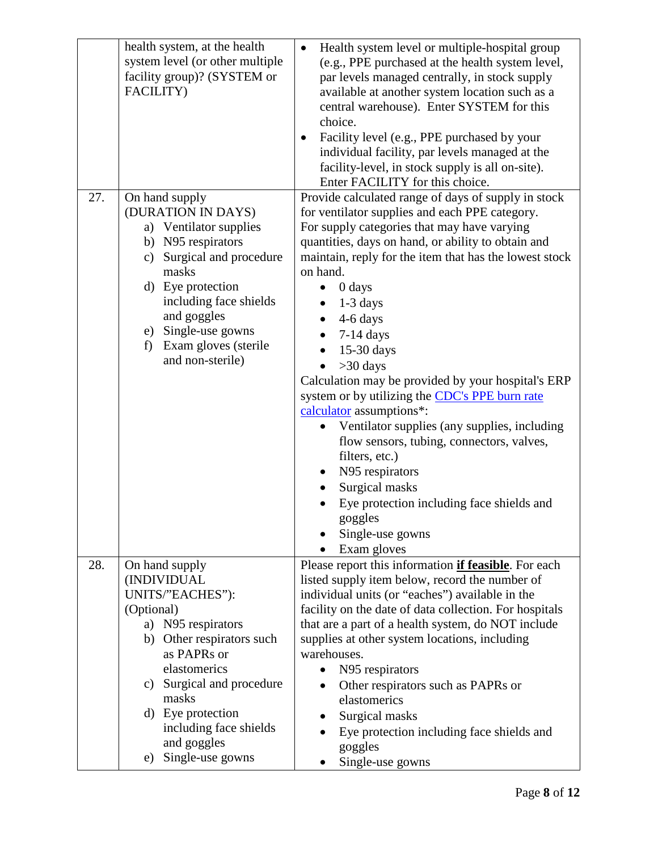| 27. | health system, at the health<br>system level (or other multiple<br>facility group)? (SYSTEM or<br>FACILITY)<br>On hand supply<br>(DURATION IN DAYS)<br>a) Ventilator supplies<br>b) N95 respirators<br>Surgical and procedure<br>c)<br>masks<br>d) Eye protection<br>including face shields<br>and goggles<br>e) Single-use gowns<br>f) Exam gloves (sterile<br>and non-sterile) | Health system level or multiple-hospital group<br>$\bullet$<br>(e.g., PPE purchased at the health system level,<br>par levels managed centrally, in stock supply<br>available at another system location such as a<br>central warehouse). Enter SYSTEM for this<br>choice.<br>Facility level (e.g., PPE purchased by your<br>$\bullet$<br>individual facility, par levels managed at the<br>facility-level, in stock supply is all on-site).<br>Enter FACILITY for this choice.<br>Provide calculated range of days of supply in stock<br>for ventilator supplies and each PPE category.<br>For supply categories that may have varying<br>quantities, days on hand, or ability to obtain and<br>maintain, reply for the item that has the lowest stock<br>on hand.<br>0 days<br>$1-3$ days<br>4-6 days<br>$7-14$ days<br>15-30 days<br>$>30$ days<br>Calculation may be provided by your hospital's ERP<br>system or by utilizing the <b>CDC's PPE burn rate</b><br>calculator assumptions*:<br>Ventilator supplies (any supplies, including<br>flow sensors, tubing, connectors, valves,<br>filters, etc.)<br>N95 respirators<br>Surgical masks<br>$\bullet$ |
|-----|----------------------------------------------------------------------------------------------------------------------------------------------------------------------------------------------------------------------------------------------------------------------------------------------------------------------------------------------------------------------------------|----------------------------------------------------------------------------------------------------------------------------------------------------------------------------------------------------------------------------------------------------------------------------------------------------------------------------------------------------------------------------------------------------------------------------------------------------------------------------------------------------------------------------------------------------------------------------------------------------------------------------------------------------------------------------------------------------------------------------------------------------------------------------------------------------------------------------------------------------------------------------------------------------------------------------------------------------------------------------------------------------------------------------------------------------------------------------------------------------------------------------------------------------------------|
|     |                                                                                                                                                                                                                                                                                                                                                                                  | Eye protection including face shields and                                                                                                                                                                                                                                                                                                                                                                                                                                                                                                                                                                                                                                                                                                                                                                                                                                                                                                                                                                                                                                                                                                                      |
|     |                                                                                                                                                                                                                                                                                                                                                                                  | goggles<br>Single-use gowns                                                                                                                                                                                                                                                                                                                                                                                                                                                                                                                                                                                                                                                                                                                                                                                                                                                                                                                                                                                                                                                                                                                                    |
|     |                                                                                                                                                                                                                                                                                                                                                                                  | Exam gloves                                                                                                                                                                                                                                                                                                                                                                                                                                                                                                                                                                                                                                                                                                                                                                                                                                                                                                                                                                                                                                                                                                                                                    |
| 28. | On hand supply                                                                                                                                                                                                                                                                                                                                                                   | Please report this information <i>if feasible</i> . For each                                                                                                                                                                                                                                                                                                                                                                                                                                                                                                                                                                                                                                                                                                                                                                                                                                                                                                                                                                                                                                                                                                   |
|     | (INDIVIDUAL<br>UNITS/"EACHES"):                                                                                                                                                                                                                                                                                                                                                  | listed supply item below, record the number of<br>individual units (or "eaches") available in the                                                                                                                                                                                                                                                                                                                                                                                                                                                                                                                                                                                                                                                                                                                                                                                                                                                                                                                                                                                                                                                              |
|     | (Optional)                                                                                                                                                                                                                                                                                                                                                                       | facility on the date of data collection. For hospitals                                                                                                                                                                                                                                                                                                                                                                                                                                                                                                                                                                                                                                                                                                                                                                                                                                                                                                                                                                                                                                                                                                         |
|     | a) N95 respirators                                                                                                                                                                                                                                                                                                                                                               | that are a part of a health system, do NOT include                                                                                                                                                                                                                                                                                                                                                                                                                                                                                                                                                                                                                                                                                                                                                                                                                                                                                                                                                                                                                                                                                                             |
|     | Other respirators such<br>b)<br>as PAPRs or                                                                                                                                                                                                                                                                                                                                      | supplies at other system locations, including<br>warehouses.                                                                                                                                                                                                                                                                                                                                                                                                                                                                                                                                                                                                                                                                                                                                                                                                                                                                                                                                                                                                                                                                                                   |
|     | elastomerics                                                                                                                                                                                                                                                                                                                                                                     | N95 respirators                                                                                                                                                                                                                                                                                                                                                                                                                                                                                                                                                                                                                                                                                                                                                                                                                                                                                                                                                                                                                                                                                                                                                |
|     | c) Surgical and procedure                                                                                                                                                                                                                                                                                                                                                        | Other respirators such as PAPRs or                                                                                                                                                                                                                                                                                                                                                                                                                                                                                                                                                                                                                                                                                                                                                                                                                                                                                                                                                                                                                                                                                                                             |
|     | masks                                                                                                                                                                                                                                                                                                                                                                            | elastomerics                                                                                                                                                                                                                                                                                                                                                                                                                                                                                                                                                                                                                                                                                                                                                                                                                                                                                                                                                                                                                                                                                                                                                   |
|     | d) Eye protection<br>including face shields                                                                                                                                                                                                                                                                                                                                      | Surgical masks<br>Eye protection including face shields and                                                                                                                                                                                                                                                                                                                                                                                                                                                                                                                                                                                                                                                                                                                                                                                                                                                                                                                                                                                                                                                                                                    |
|     | and goggles                                                                                                                                                                                                                                                                                                                                                                      | goggles                                                                                                                                                                                                                                                                                                                                                                                                                                                                                                                                                                                                                                                                                                                                                                                                                                                                                                                                                                                                                                                                                                                                                        |
|     | Single-use gowns<br>e)                                                                                                                                                                                                                                                                                                                                                           | Single-use gowns                                                                                                                                                                                                                                                                                                                                                                                                                                                                                                                                                                                                                                                                                                                                                                                                                                                                                                                                                                                                                                                                                                                                               |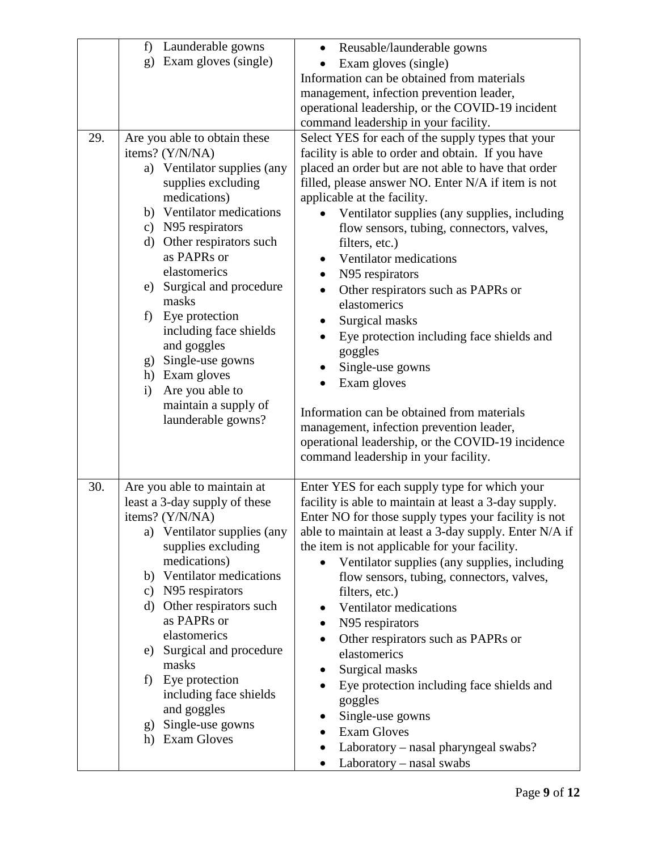|     | Launderable gowns<br>f)                                                                                                                                                                                                                                                                                                                                                                                                                                                    | Reusable/launderable gowns<br>$\bullet$                                                                                                                                                                                                                                                                                                                                                                                                                                                                                                                                                                                                                                                                                                                                                                         |
|-----|----------------------------------------------------------------------------------------------------------------------------------------------------------------------------------------------------------------------------------------------------------------------------------------------------------------------------------------------------------------------------------------------------------------------------------------------------------------------------|-----------------------------------------------------------------------------------------------------------------------------------------------------------------------------------------------------------------------------------------------------------------------------------------------------------------------------------------------------------------------------------------------------------------------------------------------------------------------------------------------------------------------------------------------------------------------------------------------------------------------------------------------------------------------------------------------------------------------------------------------------------------------------------------------------------------|
|     | Exam gloves (single)<br>g)                                                                                                                                                                                                                                                                                                                                                                                                                                                 | Exam gloves (single)                                                                                                                                                                                                                                                                                                                                                                                                                                                                                                                                                                                                                                                                                                                                                                                            |
|     |                                                                                                                                                                                                                                                                                                                                                                                                                                                                            | Information can be obtained from materials                                                                                                                                                                                                                                                                                                                                                                                                                                                                                                                                                                                                                                                                                                                                                                      |
|     |                                                                                                                                                                                                                                                                                                                                                                                                                                                                            | management, infection prevention leader,                                                                                                                                                                                                                                                                                                                                                                                                                                                                                                                                                                                                                                                                                                                                                                        |
|     |                                                                                                                                                                                                                                                                                                                                                                                                                                                                            | operational leadership, or the COVID-19 incident                                                                                                                                                                                                                                                                                                                                                                                                                                                                                                                                                                                                                                                                                                                                                                |
|     |                                                                                                                                                                                                                                                                                                                                                                                                                                                                            | command leadership in your facility.                                                                                                                                                                                                                                                                                                                                                                                                                                                                                                                                                                                                                                                                                                                                                                            |
| 29. | Are you able to obtain these<br>items? (Y/N/NA)<br>a) Ventilator supplies (any<br>supplies excluding<br>medications)<br>b) Ventilator medications<br>c) N95 respirators<br>d) Other respirators such<br>as PAPRs or<br>elastomerics<br>Surgical and procedure<br>e)<br>masks<br>Eye protection<br>f)<br>including face shields<br>and goggles<br>Single-use gowns<br>g)<br>h) Exam gloves<br>Are you able to<br>$\mathbf{i}$<br>maintain a supply of<br>launderable gowns? | Select YES for each of the supply types that your<br>facility is able to order and obtain. If you have<br>placed an order but are not able to have that order<br>filled, please answer NO. Enter N/A if item is not<br>applicable at the facility.<br>Ventilator supplies (any supplies, including<br>flow sensors, tubing, connectors, valves,<br>filters, etc.)<br>Ventilator medications<br>$\bullet$<br>N95 respirators<br>Other respirators such as PAPRs or<br>elastomerics<br>Surgical masks<br>Eye protection including face shields and<br>$\bullet$<br>goggles<br>Single-use gowns<br>Exam gloves<br>$\bullet$<br>Information can be obtained from materials<br>management, infection prevention leader,<br>operational leadership, or the COVID-19 incidence<br>command leadership in your facility. |
| 30. | Are you able to maintain at<br>least a 3-day supply of these<br>items? (Y/N/NA)<br>a) Ventilator supplies (any<br>supplies excluding<br>medications)<br>b) Ventilator medications<br>c) N95 respirators<br>d) Other respirators such<br>as PAPRs or<br>elastomerics<br>e) Surgical and procedure<br>masks<br>Eye protection<br>f)<br>including face shields<br>and goggles<br>Single-use gowns<br>g)<br><b>Exam Gloves</b><br>h)                                           | Enter YES for each supply type for which your<br>facility is able to maintain at least a 3-day supply.<br>Enter NO for those supply types your facility is not<br>able to maintain at least a 3-day supply. Enter N/A if<br>the item is not applicable for your facility.<br>Ventilator supplies (any supplies, including<br>$\bullet$<br>flow sensors, tubing, connectors, valves,<br>filters, etc.)<br>Ventilator medications<br>N95 respirators<br>Other respirators such as PAPRs or<br>$\bullet$<br>elastomerics<br>Surgical masks<br>Eye protection including face shields and<br>goggles<br>Single-use gowns<br><b>Exam Gloves</b><br>Laboratory – nasal pharyngeal swabs?<br>Laboratory – nasal swabs                                                                                                   |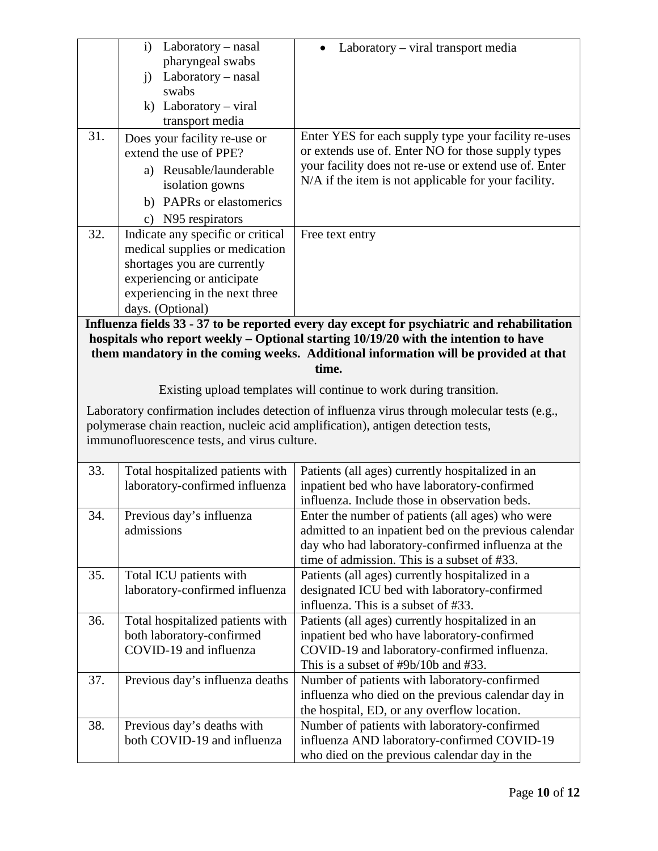|                                                                                  | i) Laboratory – nasal                                                                       | Laboratory – viral transport media                                                           |  |
|----------------------------------------------------------------------------------|---------------------------------------------------------------------------------------------|----------------------------------------------------------------------------------------------|--|
|                                                                                  | pharyngeal swabs                                                                            |                                                                                              |  |
|                                                                                  | $Laboratory - nasal$<br>i)                                                                  |                                                                                              |  |
|                                                                                  | swabs                                                                                       |                                                                                              |  |
|                                                                                  | k) Laboratory - viral                                                                       |                                                                                              |  |
|                                                                                  | transport media                                                                             |                                                                                              |  |
| $\overline{31}$ .                                                                | Does your facility re-use or                                                                | Enter YES for each supply type your facility re-uses                                         |  |
|                                                                                  | extend the use of PPE?                                                                      | or extends use of. Enter NO for those supply types                                           |  |
|                                                                                  | a) Reusable/launderable                                                                     | your facility does not re-use or extend use of. Enter                                        |  |
|                                                                                  | isolation gowns                                                                             | N/A if the item is not applicable for your facility.                                         |  |
|                                                                                  | b) PAPRs or elastomerics                                                                    |                                                                                              |  |
|                                                                                  | N95 respirators<br>$\mathbf{c})$                                                            |                                                                                              |  |
| 32.                                                                              | Indicate any specific or critical                                                           | Free text entry                                                                              |  |
|                                                                                  | medical supplies or medication                                                              |                                                                                              |  |
|                                                                                  | shortages you are currently                                                                 |                                                                                              |  |
|                                                                                  | experiencing or anticipate                                                                  |                                                                                              |  |
|                                                                                  | experiencing in the next three                                                              |                                                                                              |  |
|                                                                                  | days. (Optional)                                                                            |                                                                                              |  |
|                                                                                  | Influenza fields 33 - 37 to be reported every day except for psychiatric and rehabilitation |                                                                                              |  |
|                                                                                  | hospitals who report weekly – Optional starting 10/19/20 with the intention to have         |                                                                                              |  |
|                                                                                  |                                                                                             | them mandatory in the coming weeks. Additional information will be provided at that<br>time. |  |
|                                                                                  |                                                                                             |                                                                                              |  |
|                                                                                  |                                                                                             | Existing upload templates will continue to work during transition.                           |  |
|                                                                                  |                                                                                             | Laboratory confirmation includes detection of influenza virus through molecular tests (e.g., |  |
| polymerase chain reaction, nucleic acid amplification), antigen detection tests, |                                                                                             |                                                                                              |  |
|                                                                                  | immunofluorescence tests, and virus culture.                                                |                                                                                              |  |
|                                                                                  |                                                                                             |                                                                                              |  |
| 33.                                                                              | Total hospitalized patients with                                                            | Patients (all ages) currently hospitalized in an                                             |  |
|                                                                                  | laboratory-confirmed influenza                                                              | inpatient bed who have laboratory-confirmed                                                  |  |
|                                                                                  |                                                                                             | influenza. Include those in observation beds.                                                |  |
| 34.                                                                              | Previous day's influenza                                                                    | Enter the number of patients (all ages) who were                                             |  |
|                                                                                  | admissions                                                                                  | admitted to an inpatient bed on the previous calendar                                        |  |
|                                                                                  |                                                                                             |                                                                                              |  |
|                                                                                  |                                                                                             | day who had laboratory-confirmed influenza at the                                            |  |
|                                                                                  |                                                                                             | time of admission. This is a subset of #33.                                                  |  |
| 35.                                                                              | Total ICU patients with                                                                     | Patients (all ages) currently hospitalized in a                                              |  |
|                                                                                  | laboratory-confirmed influenza                                                              | designated ICU bed with laboratory-confirmed                                                 |  |
|                                                                                  |                                                                                             | influenza. This is a subset of #33.                                                          |  |
| 36.                                                                              | Total hospitalized patients with                                                            | Patients (all ages) currently hospitalized in an                                             |  |
|                                                                                  | both laboratory-confirmed                                                                   | inpatient bed who have laboratory-confirmed                                                  |  |
|                                                                                  | COVID-19 and influenza                                                                      | COVID-19 and laboratory-confirmed influenza.                                                 |  |
|                                                                                  |                                                                                             | This is a subset of $\#9b/10b$ and $\#33$ .                                                  |  |
| 37.                                                                              | Previous day's influenza deaths                                                             | Number of patients with laboratory-confirmed                                                 |  |
|                                                                                  |                                                                                             | influenza who died on the previous calendar day in                                           |  |
|                                                                                  |                                                                                             | the hospital, ED, or any overflow location.                                                  |  |
| 38.                                                                              | Previous day's deaths with                                                                  | Number of patients with laboratory-confirmed                                                 |  |
|                                                                                  | both COVID-19 and influenza                                                                 | influenza AND laboratory-confirmed COVID-19<br>who died on the previous calendar day in the  |  |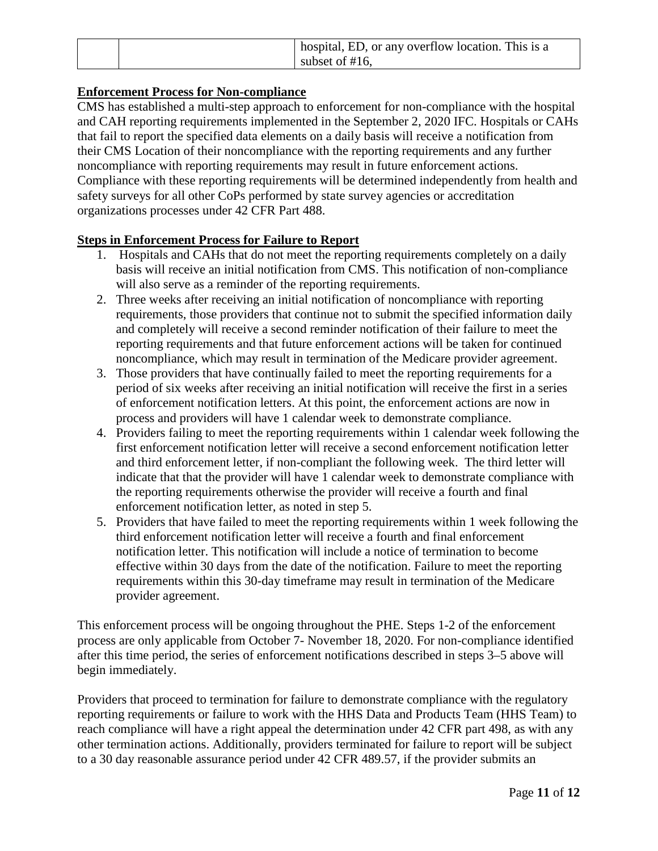|  | A hospital, ED, or any overflow location. This is a |
|--|-----------------------------------------------------|
|  | subset of $#16$ .                                   |

# **Enforcement Process for Non-compliance**

CMS has established a multi-step approach to enforcement for non-compliance with the hospital and CAH reporting requirements implemented in the September 2, 2020 IFC. Hospitals or CAHs that fail to report the specified data elements on a daily basis will receive a notification from their CMS Location of their noncompliance with the reporting requirements and any further noncompliance with reporting requirements may result in future enforcement actions. Compliance with these reporting requirements will be determined independently from health and safety surveys for all other CoPs performed by state survey agencies or accreditation organizations processes under 42 CFR Part 488.

## **Steps in Enforcement Process for Failure to Report**

- 1. Hospitals and CAHs that do not meet the reporting requirements completely on a daily basis will receive an initial notification from CMS. This notification of non-compliance will also serve as a reminder of the reporting requirements.
- 2. Three weeks after receiving an initial notification of noncompliance with reporting requirements, those providers that continue not to submit the specified information daily and completely will receive a second reminder notification of their failure to meet the reporting requirements and that future enforcement actions will be taken for continued noncompliance, which may result in termination of the Medicare provider agreement.
- 3. Those providers that have continually failed to meet the reporting requirements for a period of six weeks after receiving an initial notification will receive the first in a series of enforcement notification letters. At this point, the enforcement actions are now in process and providers will have 1 calendar week to demonstrate compliance.
- 4. Providers failing to meet the reporting requirements within 1 calendar week following the first enforcement notification letter will receive a second enforcement notification letter and third enforcement letter, if non-compliant the following week. The third letter will indicate that that the provider will have 1 calendar week to demonstrate compliance with the reporting requirements otherwise the provider will receive a fourth and final enforcement notification letter, as noted in step 5.
- 5. Providers that have failed to meet the reporting requirements within 1 week following the third enforcement notification letter will receive a fourth and final enforcement notification letter. This notification will include a notice of termination to become effective within 30 days from the date of the notification. Failure to meet the reporting requirements within this 30-day timeframe may result in termination of the Medicare provider agreement.

This enforcement process will be ongoing throughout the PHE. Steps 1-2 of the enforcement process are only applicable from October 7- November 18, 2020. For non-compliance identified after this time period, the series of enforcement notifications described in steps 3–5 above will begin immediately.

Providers that proceed to termination for failure to demonstrate compliance with the regulatory reporting requirements or failure to work with the HHS Data and Products Team (HHS Team) to reach compliance will have a right appeal the determination under 42 CFR part 498, as with any other termination actions. Additionally, providers terminated for failure to report will be subject to a 30 day reasonable assurance period under 42 CFR 489.57, if the provider submits an